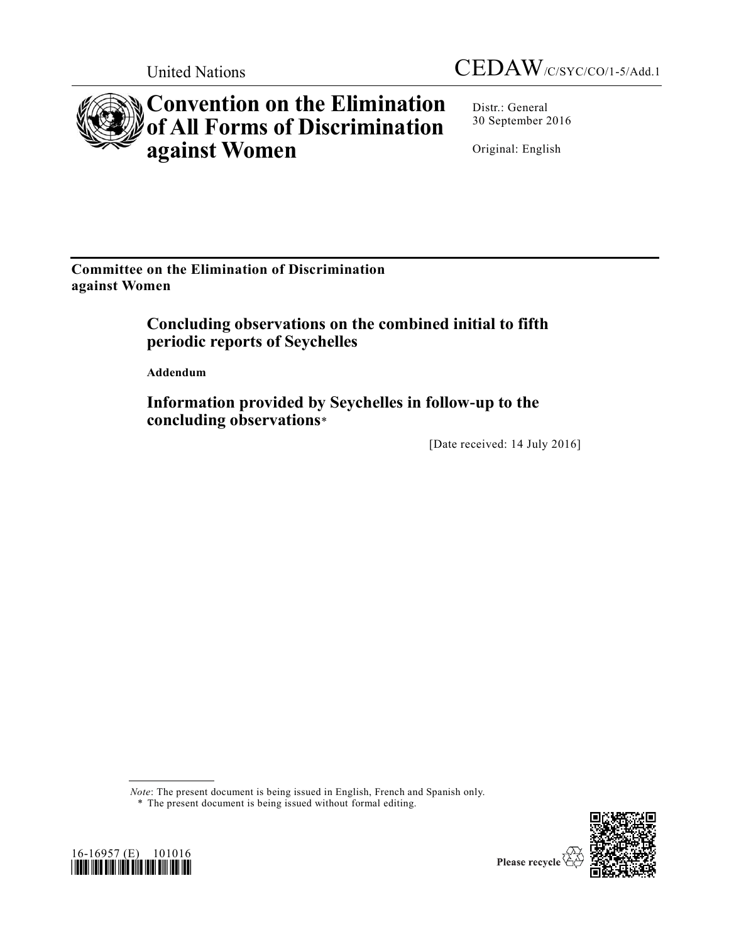

# **Convention on the Elimination of All Forms of Discrimination against Women**

Distr.: General 30 September 2016

Original: English

**Committee on the Elimination of Discrimination against Women**

# **Concluding observations on the combined initial to fifth periodic reports of Seychelles**

**Addendum** 

**Information provided by Seychelles in follow-up to the concluding observations**\*

[Date received: 14 July 2016]

*Note*: The present document is being issued in English, French and Spanish only.

\* The present document is being issued without formal editing.



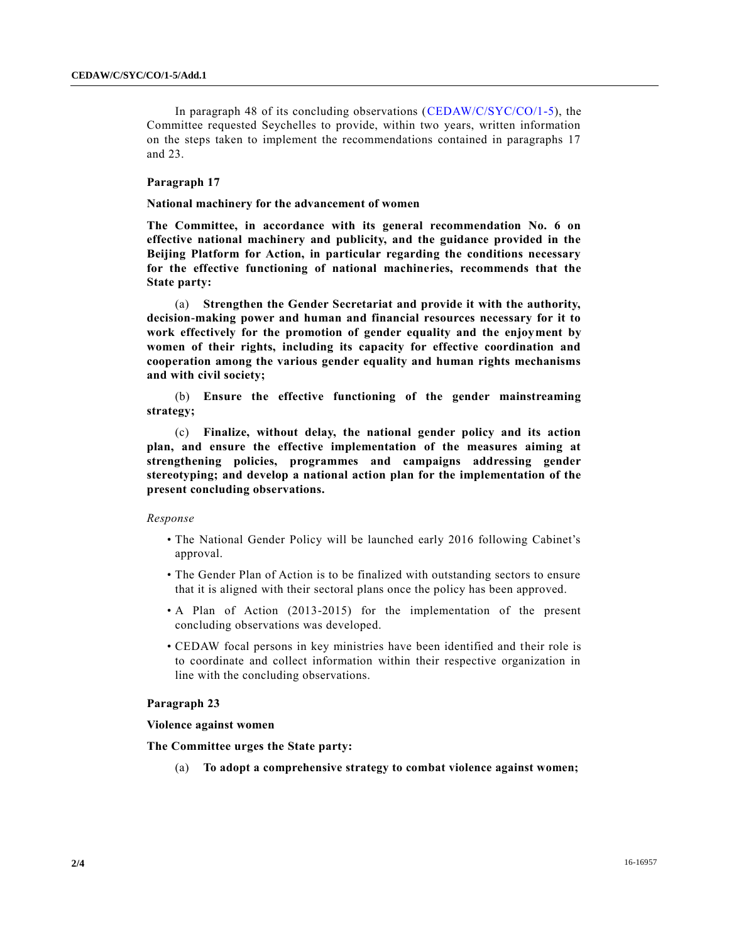In paragraph 48 of its concluding observations [\(CEDAW/C/SYC/CO/1-5\)](http://undocs.org/CEDAW/C/SYC/CO/1), the Committee requested Seychelles to provide, within two years, written information on the steps taken to implement the recommendations contained in paragraphs 17 and 23.

# **Paragraph 17**

#### **National machinery for the advancement of women**

**The Committee, in accordance with its general recommendation No. 6 on effective national machinery and publicity, and the guidance provided in the Beijing Platform for Action, in particular regarding the conditions necessary for the effective functioning of national machineries, recommends that the State party:**

(a) **Strengthen the Gender Secretariat and provide it with the authority, decision-making power and human and financial resources necessary for it to work effectively for the promotion of gender equality and the enjoyment by women of their rights, including its capacity for effective coordination and cooperation among the various gender equality and human rights mechanisms and with civil society;**

(b) **Ensure the effective functioning of the gender mainstreaming strategy;** 

(c) **Finalize, without delay, the national gender policy and its action plan, and ensure the effective implementation of the measures aiming at strengthening policies, programmes and campaigns addressing gender stereotyping; and develop a national action plan for the implementation of the present concluding observations.**

#### *Response*

- The National Gender Policy will be launched early 2016 following Cabinet's approval.
- The Gender Plan of Action is to be finalized with outstanding sectors to ensure that it is aligned with their sectoral plans once the policy has been approved.
- A Plan of Action (2013-2015) for the implementation of the present concluding observations was developed.
- CEDAW focal persons in key ministries have been identified and their role is to coordinate and collect information within their respective organization in line with the concluding observations.

## **Paragraph 23**

#### **Violence against women**

**The Committee urges the State party:**

(a) **To adopt a comprehensive strategy to combat violence against women;**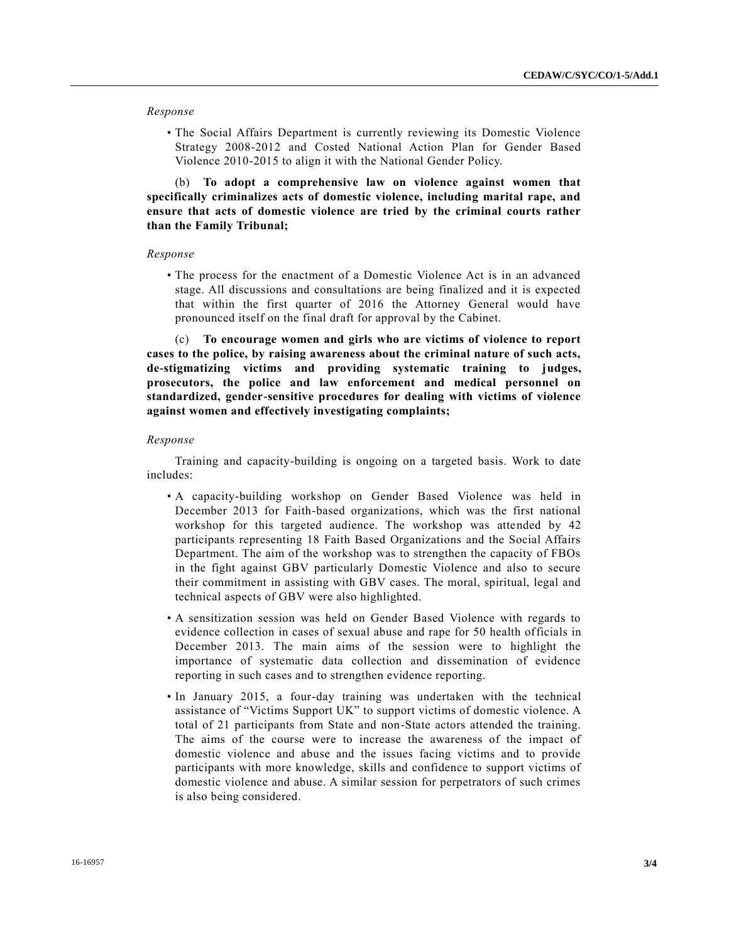## *Response*

• The Social Affairs Department is currently reviewing its Domestic Violence Strategy 2008-2012 and Costed National Action Plan for Gender Based Violence 2010-2015 to align it with the National Gender Policy.

(b) **To adopt a comprehensive law on violence against women that specifically criminalizes acts of domestic violence, including marital rape, and ensure that acts of domestic violence are tried by the criminal courts rather than the Family Tribunal;**

#### *Response*

• The process for the enactment of a Domestic Violence Act is in an advanced stage. All discussions and consultations are being finalized and it is expected that within the first quarter of 2016 the Attorney General would have pronounced itself on the final draft for approval by the Cabinet.

(c) **To encourage women and girls who are victims of violence to report cases to the police, by raising awareness about the criminal nature of such acts, de-stigmatizing victims and providing systematic training to judges, prosecutors, the police and law enforcement and medical personnel on standardized, gender-sensitive procedures for dealing with victims of violence against women and effectively investigating complaints;**

#### *Response*

Training and capacity-building is ongoing on a targeted basis. Work to date includes:

- A capacity-building workshop on Gender Based Violence was held in December 2013 for Faith-based organizations, which was the first national workshop for this targeted audience. The workshop was attended by 42 participants representing 18 Faith Based Organizations and the Social Affairs Department. The aim of the workshop was to strengthen the capacity of FBOs in the fight against GBV particularly Domestic Violence and also to secure their commitment in assisting with GBV cases. The moral, spiritual, legal and technical aspects of GBV were also highlighted.
- A sensitization session was held on Gender Based Violence with regards to evidence collection in cases of sexual abuse and rape for 50 health officials in December 2013. The main aims of the session were to highlight the importance of systematic data collection and dissemination of evidence reporting in such cases and to strengthen evidence reporting.
- In January 2015, a four-day training was undertaken with the technical assistance of "Victims Support UK" to support victims of domestic violence. A total of 21 participants from State and non-State actors attended the training. The aims of the course were to increase the awareness of the impact of domestic violence and abuse and the issues facing victims and to provide participants with more knowledge, skills and confidence to support victims of domestic violence and abuse. A similar session for perpetrators of such crimes is also being considered.